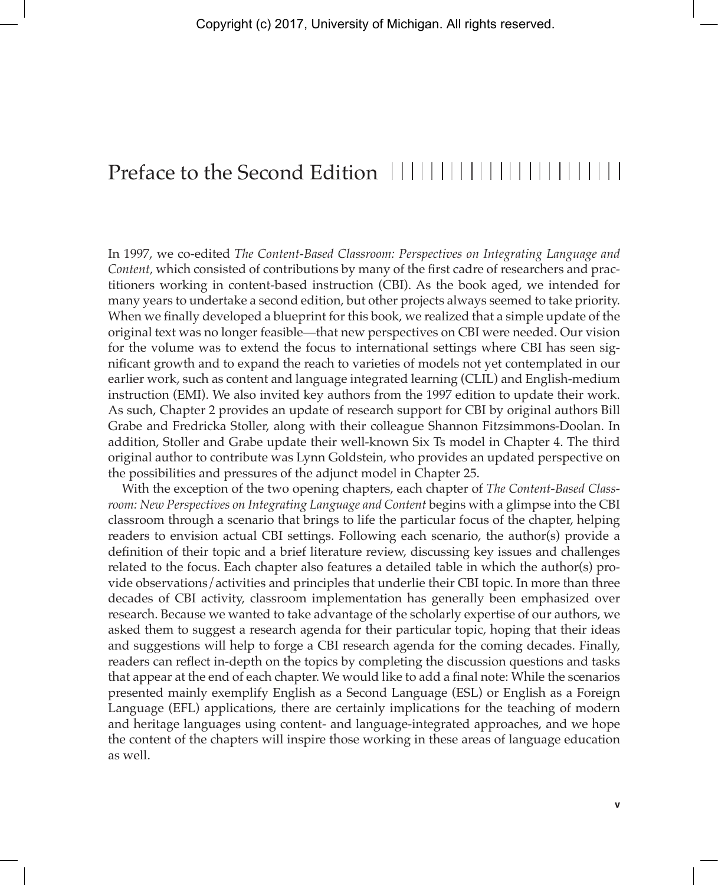## Preface to the Second Edition ||||||||||||||||||||||||

In 1997, we co-edited *The Content-Based Classroom: Perspectives on Integrating Language and Content,* which consisted of contributions by many of the first cadre of researchers and practitioners working in content-based instruction (CBI). As the book aged, we intended for many years to undertake a second edition, but other projects always seemed to take priority. When we finally developed a blueprint for this book, we realized that a simple update of the original text was no longer feasible—that new perspectives on CBI were needed. Our vision for the volume was to extend the focus to international settings where CBI has seen significant growth and to expand the reach to varieties of models not yet contemplated in our earlier work, such as content and language integrated learning (CLIL) and English-medium instruction (EMI). We also invited key authors from the 1997 edition to update their work. As such, Chapter 2 provides an update of research support for CBI by original authors Bill Grabe and Fredricka Stoller, along with their colleague Shannon Fitzsimmons-Doolan. In addition, Stoller and Grabe update their well-known Six Ts model in Chapter 4. The third original author to contribute was Lynn Goldstein, who provides an updated perspective on the possibilities and pressures of the adjunct model in Chapter 25.

With the exception of the two opening chapters, each chapter of *The Content-Based Classroom: New Perspectives on Integrating Language and Content* begins with a glimpse into the CBI classroom through a scenario that brings to life the particular focus of the chapter, helping readers to envision actual CBI settings. Following each scenario, the author(s) provide a definition of their topic and a brief literature review, discussing key issues and challenges related to the focus. Each chapter also features a detailed table in which the author(s) provide observations/activities and principles that underlie their CBI topic. In more than three decades of CBI activity, classroom implementation has generally been emphasized over research. Because we wanted to take advantage of the scholarly expertise of our authors, we asked them to suggest a research agenda for their particular topic, hoping that their ideas and suggestions will help to forge a CBI research agenda for the coming decades. Finally, readers can reflect in-depth on the topics by completing the discussion questions and tasks that appear at the end of each chapter. We would like to add a final note: While the scenarios presented mainly exemplify English as a Second Language (ESL) or English as a Foreign Language (EFL) applications, there are certainly implications for the teaching of modern and heritage languages using content- and language-integrated approaches, and we hope the content of the chapters will inspire those working in these areas of language education as well.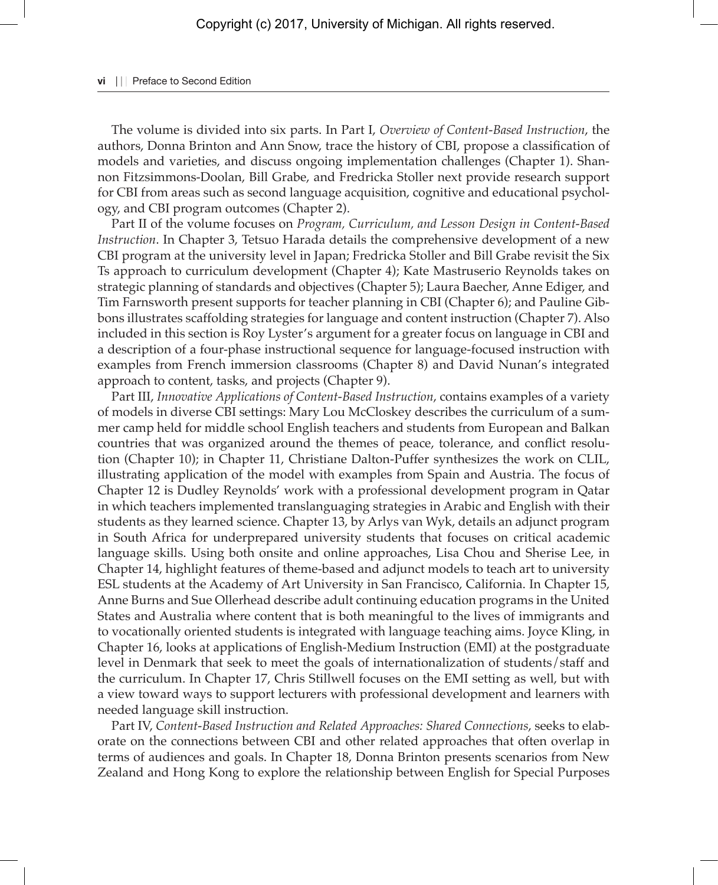## **vi** | | Preface to Second Edition

The volume is divided into six parts. In Part I, *Overview of Content-Based Instruction*, the authors, Donna Brinton and Ann Snow, trace the history of CBI, propose a classification of models and varieties, and discuss ongoing implementation challenges (Chapter 1). Shannon Fitzsimmons-Doolan, Bill Grabe, and Fredricka Stoller next provide research support for CBI from areas such as second language acquisition, cognitive and educational psychology, and CBI program outcomes (Chapter 2).

Part II of the volume focuses on *Program, Curriculum, and Lesson Design in Content-Based Instruction*. In Chapter 3, Tetsuo Harada details the comprehensive development of a new CBI program at the university level in Japan; Fredricka Stoller and Bill Grabe revisit the Six Ts approach to curriculum development (Chapter 4); Kate Mastruserio Reynolds takes on strategic planning of standards and objectives (Chapter 5); Laura Baecher, Anne Ediger, and Tim Farnsworth present supports for teacher planning in CBI (Chapter 6); and Pauline Gibbons illustrates scaffolding strategies for language and content instruction (Chapter 7). Also included in this section is Roy Lyster's argument for a greater focus on language in CBI and a description of a four-phase instructional sequence for language-focused instruction with examples from French immersion classrooms (Chapter 8) and David Nunan's integrated approach to content, tasks, and projects (Chapter 9).

Part III, *Innovative Applications of Content-Based Instruction*, contains examples of a variety of models in diverse CBI settings: Mary Lou McCloskey describes the curriculum of a summer camp held for middle school English teachers and students from European and Balkan countries that was organized around the themes of peace, tolerance, and conflict resolution (Chapter 10); in Chapter 11, Christiane Dalton-Puffer synthesizes the work on CLIL, illustrating application of the model with examples from Spain and Austria. The focus of Chapter 12 is Dudley Reynolds' work with a professional development program in Qatar in which teachers implemented translanguaging strategies in Arabic and English with their students as they learned science. Chapter 13, by Arlys van Wyk, details an adjunct program in South Africa for underprepared university students that focuses on critical academic language skills. Using both onsite and online approaches, Lisa Chou and Sherise Lee, in Chapter 14, highlight features of theme-based and adjunct models to teach art to university ESL students at the Academy of Art University in San Francisco, California. In Chapter 15, Anne Burns and Sue Ollerhead describe adult continuing education programs in the United States and Australia where content that is both meaningful to the lives of immigrants and to vocationally oriented students is integrated with language teaching aims. Joyce Kling, in Chapter 16, looks at applications of English-Medium Instruction (EMI) at the postgraduate level in Denmark that seek to meet the goals of internationalization of students/staff and the curriculum. In Chapter 17, Chris Stillwell focuses on the EMI setting as well, but with a view toward ways to support lecturers with professional development and learners with needed language skill instruction.

Part IV, *Content-Based Instruction and Related Approaches: Shared Connections*, seeks to elaborate on the connections between CBI and other related approaches that often overlap in terms of audiences and goals. In Chapter 18, Donna Brinton presents scenarios from New Zealand and Hong Kong to explore the relationship between English for Special Purposes